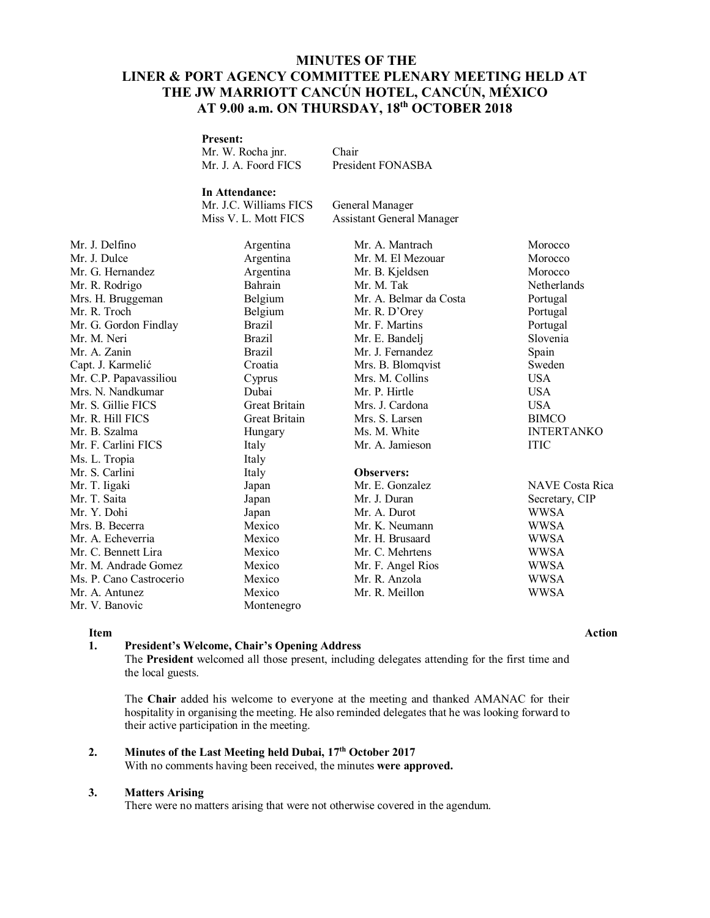# **MINUTES OF THE LINER & PORT AGENCY COMMITTEE PLENARY MEETING HELD AT THE JW MARRIOTT CANCÚN HOTEL, CANCÚN, MÉXICO AT 9.00 a.m. ON THURSDAY, 18th OCTOBER 2018**

### **Present:**

Mr. W. Rocha jnr. Chair Mr. J. A. Foord FICS President FONASBA

**In Attendance:** Mr. J.C. Williams FICS General Manager<br>Miss V. L. Mott FICS Assistant General

Assistant General Manager

| Argentina     | Mr. A. Mantrach        | Morocco                |
|---------------|------------------------|------------------------|
| Argentina     | Mr. M. El Mezouar      | Morocco                |
| Argentina     | Mr. B. Kjeldsen        | Morocco                |
| Bahrain       | Mr. M. Tak             | Netherlands            |
| Belgium       | Mr. A. Belmar da Costa | Portugal               |
| Belgium       | Mr. R. D'Orey          | Portugal               |
| <b>Brazil</b> | Mr. F. Martins         | Portugal               |
| <b>Brazil</b> | Mr. E. Bandelj         | Slovenia               |
| <b>Brazil</b> | Mr. J. Fernandez       | Spain                  |
| Croatia       | Mrs. B. Blomqvist      | Sweden                 |
| Cyprus        | Mrs. M. Collins        | <b>USA</b>             |
| Dubai         | Mr. P. Hirtle          | <b>USA</b>             |
| Great Britain | Mrs. J. Cardona        | <b>USA</b>             |
| Great Britain | Mrs. S. Larsen         | <b>BIMCO</b>           |
| Hungary       | Ms. M. White           | <b>INTERTANKO</b>      |
| Italy         | Mr. A. Jamieson        | <b>ITIC</b>            |
| Italy         |                        |                        |
| Italy         | <b>Observers:</b>      |                        |
| Japan         | Mr. E. Gonzalez        | <b>NAVE</b> Costa Rica |
| Japan         | Mr. J. Duran           | Secretary, CIP         |
| Japan         | Mr. A. Durot           | WWSA                   |
| Mexico        | Mr. K. Neumann         | WWSA                   |
| Mexico        | Mr. H. Brusaard        | WWSA                   |
| Mexico        | Mr. C. Mehrtens        | WWSA                   |
| Mexico        | Mr. F. Angel Rios      | WWSA                   |
| Mexico        | Mr. R. Anzola          | <b>WWSA</b>            |
| Mexico        | Mr. R. Meillon         | <b>WWSA</b>            |
| Montenegro    |                        |                        |
|               |                        |                        |

#### **1. President's Welcome, Chair's Opening Address**

The **President** welcomed all those present, including delegates attending for the first time and the local guests.

The **Chair** added his welcome to everyone at the meeting and thanked AMANAC for their hospitality in organising the meeting. He also reminded delegates that he was looking forward to their active participation in the meeting.

#### **2. Minutes of the Last Meeting held Dubai, 17th October 2017**

With no comments having been received, the minutes **were approved.**

#### **3. Matters Arising**

There were no matters arising that were not otherwise covered in the agendum.

### **Item Action**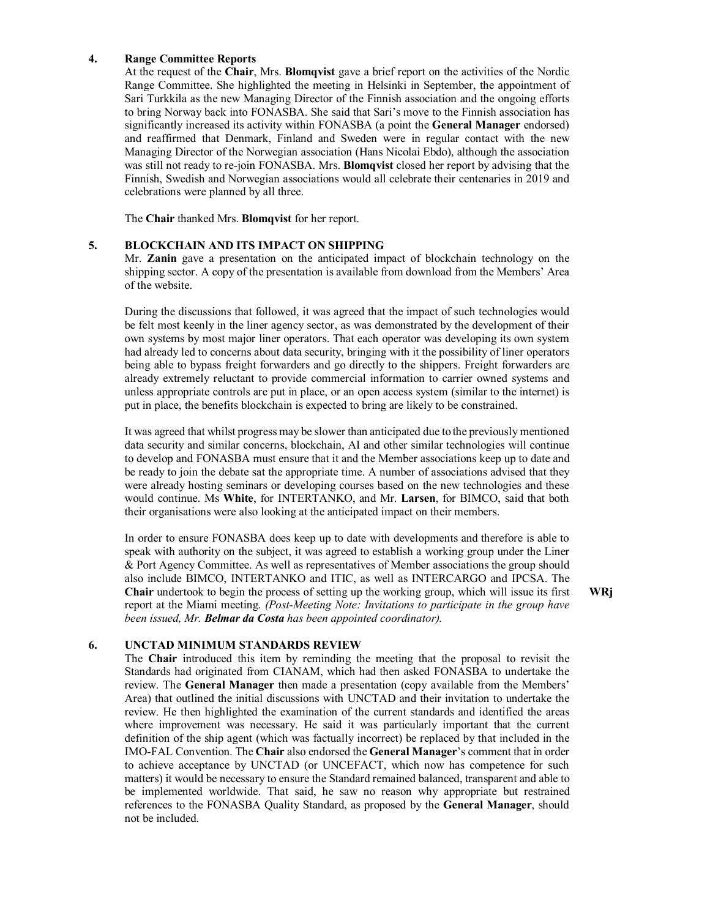#### **4. Range Committee Reports**

At the request of the **Chair**, Mrs. **Blomqvist** gave a brief report on the activities of the Nordic Range Committee. She highlighted the meeting in Helsinki in September, the appointment of Sari Turkkila as the new Managing Director of the Finnish association and the ongoing efforts to bring Norway back into FONASBA. She said that Sari's move to the Finnish association has significantly increased its activity within FONASBA (a point the **General Manager** endorsed) and reaffirmed that Denmark, Finland and Sweden were in regular contact with the new Managing Director of the Norwegian association (Hans Nicolai Ebdo), although the association was still not ready to re-join FONASBA. Mrs. **Blomqvist** closed her report by advising that the Finnish, Swedish and Norwegian associations would all celebrate their centenaries in 2019 and celebrations were planned by all three.

The **Chair** thanked Mrs. **Blomqvist** for her report.

#### **5. BLOCKCHAIN AND ITS IMPACT ON SHIPPING**

Mr. **Zanin** gave a presentation on the anticipated impact of blockchain technology on the shipping sector. A copy of the presentation is available from download from the Members' Area of the website.

During the discussions that followed, it was agreed that the impact of such technologies would be felt most keenly in the liner agency sector, as was demonstrated by the development of their own systems by most major liner operators. That each operator was developing its own system had already led to concerns about data security, bringing with it the possibility of liner operators being able to bypass freight forwarders and go directly to the shippers. Freight forwarders are already extremely reluctant to provide commercial information to carrier owned systems and unless appropriate controls are put in place, or an open access system (similar to the internet) is put in place, the benefits blockchain is expected to bring are likely to be constrained.

It was agreed that whilst progress may be slower than anticipated due to the previously mentioned data security and similar concerns, blockchain, AI and other similar technologies will continue to develop and FONASBA must ensure that it and the Member associations keep up to date and be ready to join the debate sat the appropriate time. A number of associations advised that they were already hosting seminars or developing courses based on the new technologies and these would continue. Ms **White**, for INTERTANKO, and Mr. **Larsen**, for BIMCO, said that both their organisations were also looking at the anticipated impact on their members.

In order to ensure FONASBA does keep up to date with developments and therefore is able to speak with authority on the subject, it was agreed to establish a working group under the Liner & Port Agency Committee. As well as representatives of Member associations the group should also include BIMCO, INTERTANKO and ITIC, as well as INTERCARGO and IPCSA. The **Chair** undertook to begin the process of setting up the working group, which will issue its first report at the Miami meeting. *(Post-Meeting Note: Invitations to participate in the group have been issued, Mr. Belmar da Costa has been appointed coordinator).*

**WRj**

#### **6. UNCTAD MINIMUM STANDARDS REVIEW**

The **Chair** introduced this item by reminding the meeting that the proposal to revisit the Standards had originated from CIANAM, which had then asked FONASBA to undertake the review. The **General Manager** then made a presentation (copy available from the Members' Area) that outlined the initial discussions with UNCTAD and their invitation to undertake the review. He then highlighted the examination of the current standards and identified the areas where improvement was necessary. He said it was particularly important that the current definition of the ship agent (which was factually incorrect) be replaced by that included in the IMO-FAL Convention. The **Chair** also endorsed the **General Manager**'s comment that in order to achieve acceptance by UNCTAD (or UNCEFACT, which now has competence for such matters) it would be necessary to ensure the Standard remained balanced, transparent and able to be implemented worldwide. That said, he saw no reason why appropriate but restrained references to the FONASBA Quality Standard, as proposed by the **General Manager**, should not be included.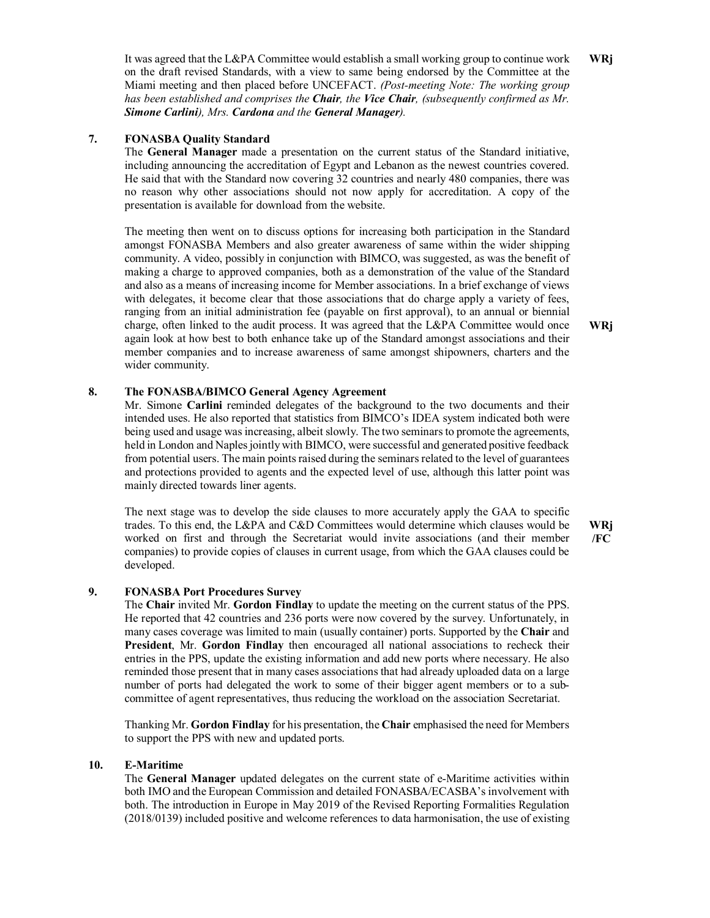It was agreed that the L&PA Committee would establish a small working group to continue work on the draft revised Standards, with a view to same being endorsed by the Committee at the Miami meeting and then placed before UNCEFACT. *(Post-meeting Note: The working group has been established and comprises the Chair, the Vice Chair, (subsequently confirmed as Mr. Simone Carlini), Mrs. Cardona and the General Manager).*  **WRj**

#### **7. FONASBA Quality Standard**

The **General Manager** made a presentation on the current status of the Standard initiative, including announcing the accreditation of Egypt and Lebanon as the newest countries covered. He said that with the Standard now covering 32 countries and nearly 480 companies, there was no reason why other associations should not now apply for accreditation. A copy of the presentation is available for download from the website.

The meeting then went on to discuss options for increasing both participation in the Standard amongst FONASBA Members and also greater awareness of same within the wider shipping community. A video, possibly in conjunction with BIMCO, was suggested, as was the benefit of making a charge to approved companies, both as a demonstration of the value of the Standard and also as a means of increasing income for Member associations. In a brief exchange of views with delegates, it become clear that those associations that do charge apply a variety of fees, ranging from an initial administration fee (payable on first approval), to an annual or biennial charge, often linked to the audit process. It was agreed that the L&PA Committee would once again look at how best to both enhance take up of the Standard amongst associations and their member companies and to increase awareness of same amongst shipowners, charters and the wider community.

## **WRj**

#### **8. The FONASBA/BIMCO General Agency Agreement**

Mr. Simone **Carlini** reminded delegates of the background to the two documents and their intended uses. He also reported that statistics from BIMCO's IDEA system indicated both were being used and usage was increasing, albeit slowly. The two seminars to promote the agreements, held in London and Naples jointly with BIMCO, were successful and generated positive feedback from potential users. The main points raised during the seminars related to the level of guarantees and protections provided to agents and the expected level of use, although this latter point was mainly directed towards liner agents.

The next stage was to develop the side clauses to more accurately apply the GAA to specific trades. To this end, the L&PA and C&D Committees would determine which clauses would be worked on first and through the Secretariat would invite associations (and their member companies) to provide copies of clauses in current usage, from which the GAA clauses could be developed.

**WRj /FC**

#### **9. FONASBA Port Procedures Survey**

The **Chair** invited Mr. **Gordon Findlay** to update the meeting on the current status of the PPS. He reported that 42 countries and 236 ports were now covered by the survey. Unfortunately, in many cases coverage was limited to main (usually container) ports. Supported by the **Chair** and **President**, Mr. **Gordon Findlay** then encouraged all national associations to recheck their entries in the PPS, update the existing information and add new ports where necessary. He also reminded those present that in many cases associations that had already uploaded data on a large number of ports had delegated the work to some of their bigger agent members or to a subcommittee of agent representatives, thus reducing the workload on the association Secretariat.

Thanking Mr. **Gordon Findlay** for his presentation, the **Chair** emphasised the need for Members to support the PPS with new and updated ports.

#### **10. E-Maritime**

The **General Manager** updated delegates on the current state of e-Maritime activities within both IMO and the European Commission and detailed FONASBA/ECASBA's involvement with both. The introduction in Europe in May 2019 of the Revised Reporting Formalities Regulation (2018/0139) included positive and welcome references to data harmonisation, the use of existing